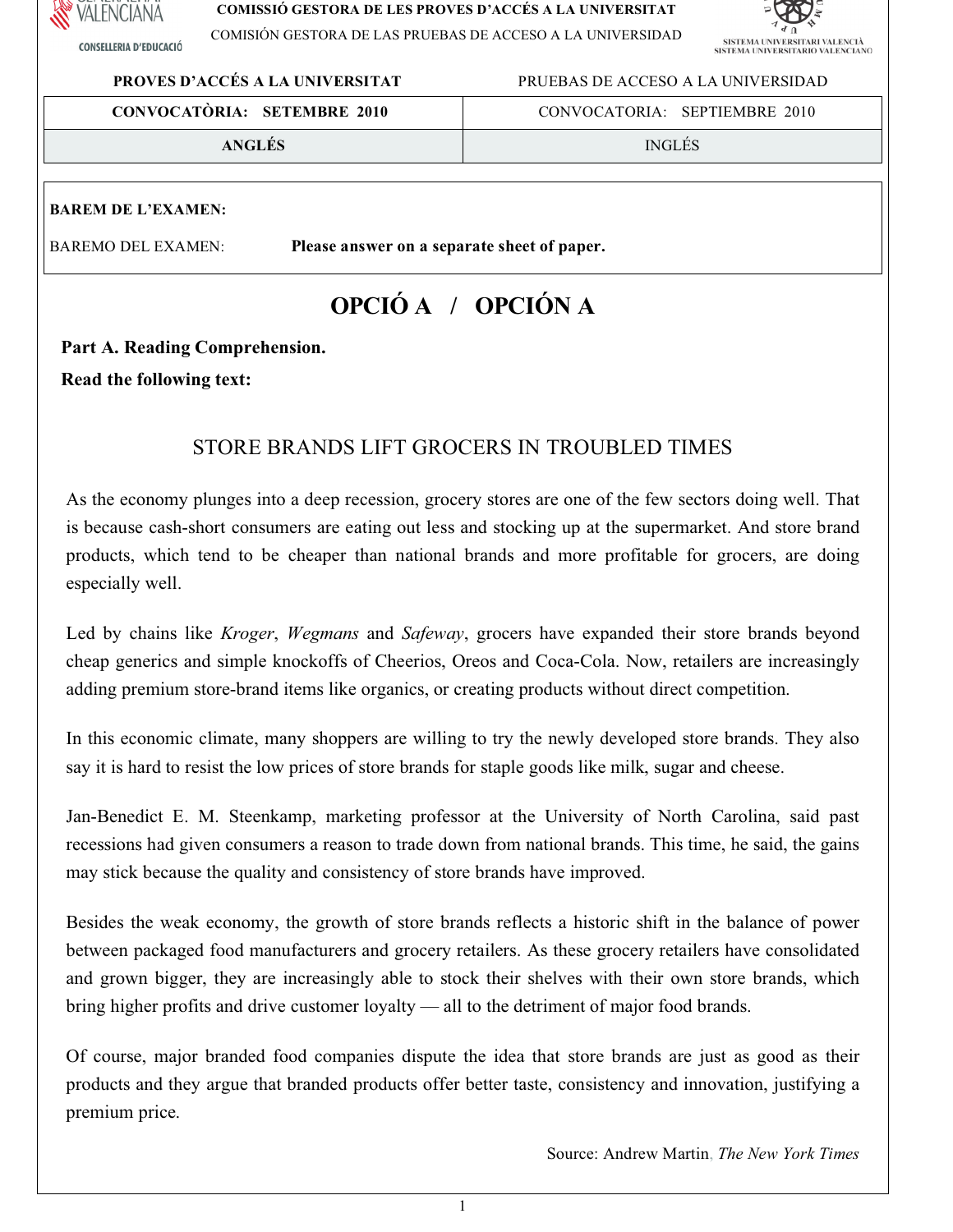

**CONSELLERIA D'EDUCACIÓ** 

#### **COMISSIÓ GESTORA DE LES PROVES D'ACCÉS A LA UNIVERSITAT**

COMISIÓN GESTORA DE LAS PRUEBAS DE ACCESO A LA UNIVERSIDAD



# **PROVES D'ACCÉS A LA UNIVERSITAT** PRUEBASDEACCESO A LA UNIVERSIDAD

| <b>CONVOCATÒRIA: SETEMBRE 2010</b> | CONVOCATORIA: SEPTIEMBRE 2010 |
|------------------------------------|-------------------------------|
| <b>ANGLES</b>                      | <b>INGLÉS</b>                 |

#### **BAREM DE L'EXAMEN:**

BAREMO DELEXAMEN: **Pleaseansweronaseparatesheetofpaper.**

# **OPCIÓ A / OPCIÓN A**

Part A. Reading Comprehension.

**Read the following text:** 

# STORE BRANDS LIFT GROCERS IN TROUBLED TIMES

As the economy plunges into a deep recession, grocery stores are one of the few sectors doing well. That is because cash-short consumers are eating out less and stocking up at the supermarket. And store brand products, which tend to be cheaper than national brands and more profitable for grocers, are doing especially well.

Led by chains like *Kroger*, *Wegmans* and *Safeway*, grocers have expanded their store brands beyond cheap generics and simple knockoffs of Cheerios, Oreos and Coca-Cola. Now, retailers are increasingly adding premium store-brand items like organics, or creating products without direct competition.

In this economic climate, many shoppers are willing to try the newly developed store brands. They also say it is hard to resist the low prices of store brands for staple goods like milk, sugar and cheese.

Jan-Benedict E. M. Steenkamp, marketing professor at the University of North Carolina, said past recessions had given consumers a reason to trade down from national brands. This time, he said, the gains may stick because the quality and consistency of store brands have improved.

Besides the weak economy, the growth of store brands reflects a historic shift in the balance of power between packaged food manufacturers and grocery retailers. As these grocery retailers have consolidated and grown bigger, they are increasingly able to stock their shelves with their own store brands, which bring higher profits and drive customer loyalty — all to the detriment of major food brands.

Of course, major branded food companies dispute the idea that store brands are just as good as their products and they argue that branded products offer better taste, consistency and innovation, justifying a premium price.

Source:Andrew Martin,*The New YorkTimes*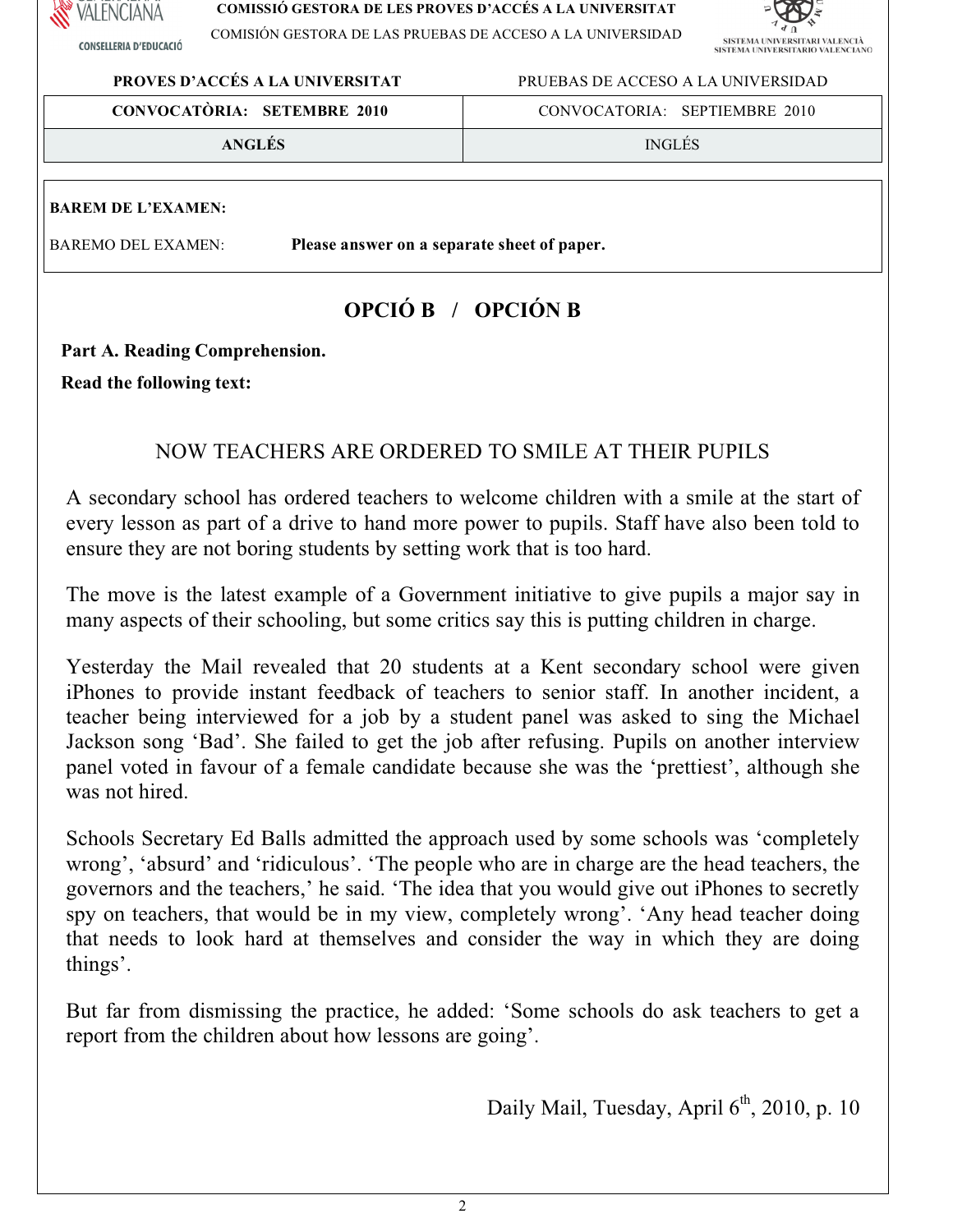

**CONSELLERIA D'EDUCACIÓ** 

#### **COMISSIÓ GESTORA DE LES PROVES D'ACCÉS A LA UNIVERSITAT**

COMISIÓN GESTORA DE LAS PRUEBAS DE ACCESO A LA UNIVERSIDAD



**PROVES D'ACCÉS A LA UNIVERSITAT** PRUEBASDEACCESO A LA UNIVERSIDAD

| <b>CONVOCATÒRIA: SETEMBRE 2010</b> | CONVOCATORIA: SEPTIEMBRE 2010 |
|------------------------------------|-------------------------------|
| <b>ANGLES</b>                      | <b>INGLES</b>                 |

## **BAREM DE L'EXAMEN:**

BAREMO DELEXAMEN: **Pleaseansweronaseparatesheetofpaper.**

# **OPCIÓ B / OPCIÓN B**

Part A. Reading Comprehension.

**Read the following text:** 

# NOW TEACHERS ARE ORDERED TO SMILE AT THEIR PUPILS

A secondary school has ordered teachers to welcome children with a smile at the start of every lesson as part of a drive to hand more power to pupils. Staff have also been told to ensure they are not boring students by setting work that is too hard.

The move is the latest example of a Government initiative to give pupils a major say in many aspects of their schooling, but some critics say this is putting children in charge.

Yesterday the Mail revealed that 20 students at a Kent secondary school were given iPhones to provide instant feedback of teachers to senior staff. In another incident, a teacher being interviewed for a job by a student panel was asked to sing the Michael Jackson song 'Bad'. She failed to get the job after refusing. Pupils on another interview panel voted in favour of a female candidate because she was the 'prettiest', although she was not hired.

Schools Secretary Ed Balls admitted the approach used by some schools was 'completely wrong', 'absurd' and 'ridiculous'. 'The people who are in charge are the head teachers, the governors and the teachers,' he said. 'The idea that you would give out iPhones to secretly spy on teachers, that would be in my view, completely wrong'. 'Any head teacher doing that needs to look hard at themselves and consider the way in which they are doing things'.

But far from dismissing the practice, he added: 'Some schools do ask teachers to get a report from the children about how lessons are going'.

Daily Mail, Tuesday, April 6<sup>th</sup>, 2010, p. 10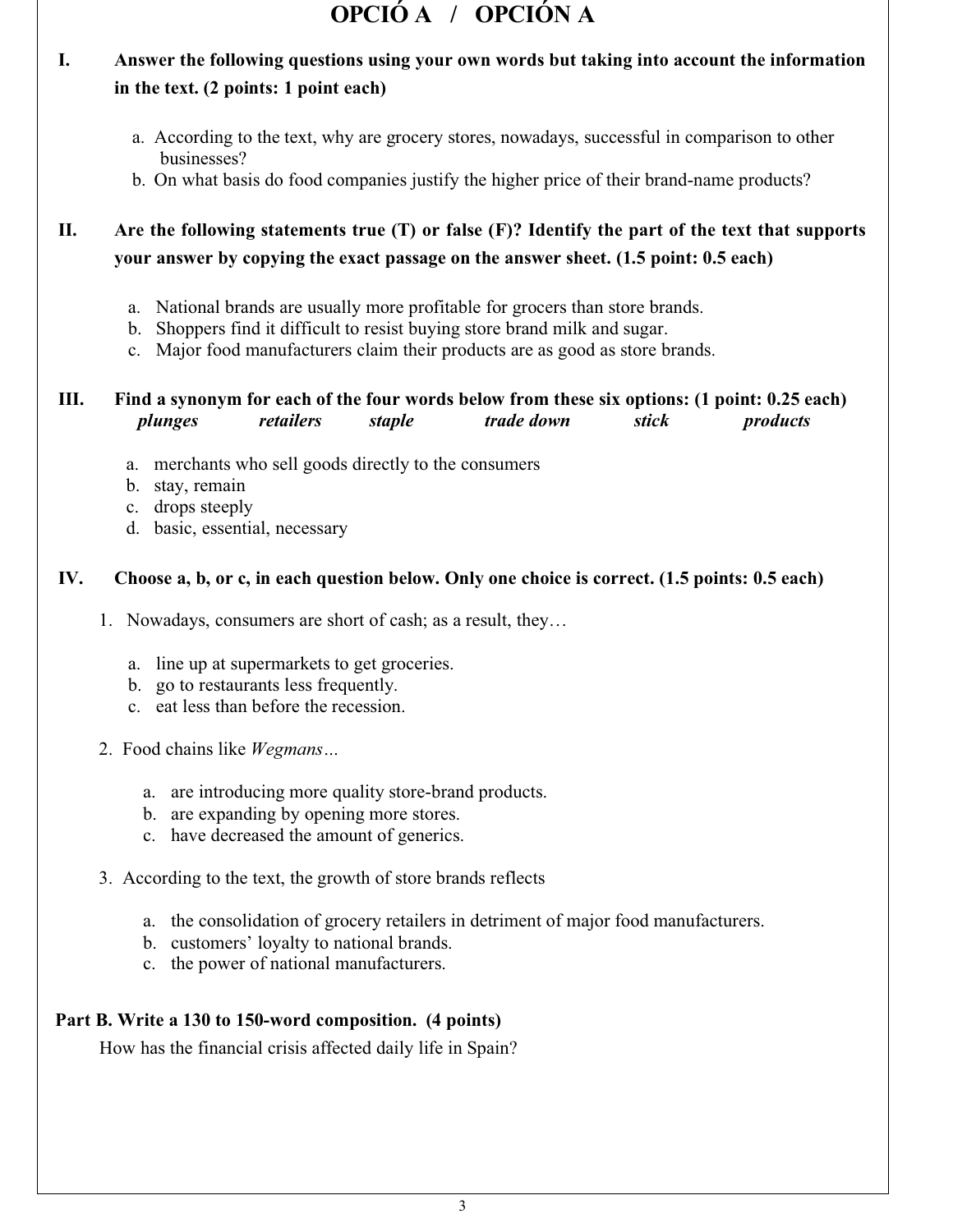# **OPCIÓ A / OPCIÓN A**

# **I. Answer the following questions using your own words but taking into account the information in the text. (2 points: 1 point each)**

- a. According to the text, why are grocery stores, nowadays, successful in comparison to other businesses?
- b. On what basis do food companies justify the higher price of their brand-name products?

# II. Are the following statements true  $(T)$  or false  $(F)$ ? Identify the part of the text that supports **your answer by copying the exact passage on the answer sheet. (1.5 point: 0.5 each)**

- a. National brands are usually more profitable for grocers than store brands.
- b. Shoppers find it difficult to resist buying store brand milk and sugar.
- c. Major food manufacturers claim their products are as good as store brands.

# III. Find a synonym for each of the four words below from these six options: (1 point: 0.25 each) *plunges retailers staple trade down stick products*

- a. merchants who sell goods directly to the consumers
- b. stay, remain
- c. drops steeply
- d. basic, essential, necessary

#### IV. Choose a, b, or c, in each question below. Only one choice is correct. (1.5 points: 0.5 each)

- 1. Nowadays, consumers are short of cash; as a result, they…
	- a. line up at supermarkets to get groceries.
	- b. go to restaurants less frequently.
	- c. eat less than before the recession.
- 2. Food chains like *Wegmans…*
	- a. are introducing more quality store-brand products.
	- b. are expanding by opening more stores.
	- c. have decreased the amount of generics.
- 3. According to the text, the growth of store brands reflects
	- a. the consolidation of grocery retailers in detriment of major food manufacturers.
	- b. customers' loyalty to national brands.
	- c. the power of national manufacturers.

## **Part B. Write a 130 to 150-word composition. (4 points)**

How has the financial crisis affected daily life in Spain?